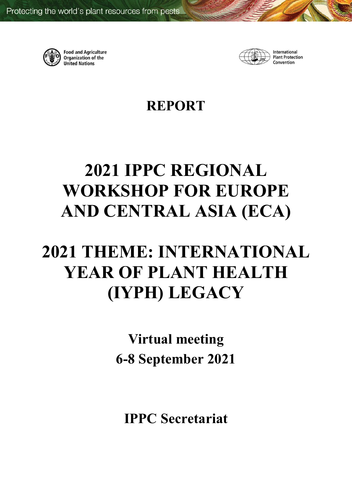

**Food and Agriculture Organization of the United Nations** 



International **Plant Protection** Convention

**REPORT**

# **2021 IPPC REGIONAL WORKSHOP FOR EUROPE AND CENTRAL ASIA (ECA)**

# **2021 THEME: INTERNATIONAL YEAR OF PLANT HEALTH (IYPH) LEGACY**

**Virtual meeting 6-8 September 2021** 

**IPPC Secretariat**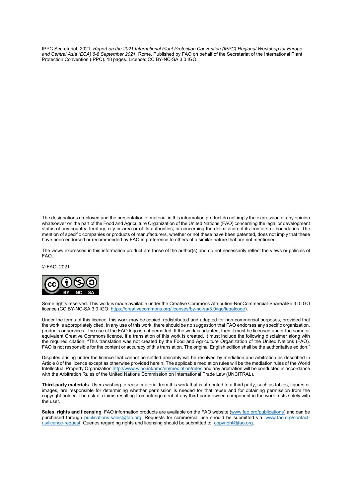IPPC Secretariat. 2021. *Report on the 2021 International Plant Protection Convention (IPPC) Regional Workshop for Europe and Central Asia (ECA) 6-8 September 2021.* Rome. Published by FAO on behalf of the Secretariat of the International Plant Protection Convention (IPPC). 18 pages. Licence: CC BY-NC-SA 3.0 IGO.

The designations employed and the presentation of material in this information product do not imply the expression of any opinion whatsoever on the part of the Food and Agriculture Organization of the United Nations (FAO) concerning the legal or development status of any country, territory, city or area or of its authorities, or concerning the delimitation of its frontiers or boundaries. The mention of specific companies or products of manufacturers, whether or not these have been patented, does not imply that these have been endorsed or recommended by FAO in preference to others of a similar nature that are not mentioned.

The views expressed in this information product are those of the author(s) and do not necessarily reflect the views or policies of FAO.

© FAO, 2021



Some rights reserved. This work is made available under the Creative Commons Attribution-NonCommercial-ShareAlike 3.0 IGO licence (CC BY-NC-SA 3.0 IGO[; https://creativecommons.org/licenses/by-nc-sa/3.0/igo/legalcode\)](https://creativecommons.org/licenses/by-nc-sa/3.0/igo/legalcode).

Under the terms of this licence, this work may be copied, redistributed and adapted for non-commercial purposes, provided that the work is appropriately cited. In any use of this work, there should be no suggestion that FAO endorses any specific organization, products or services. The use of the FAO logo is not permitted. If the work is adapted, then it must be licensed under the same or equivalent Creative Commons licence. If a translation of this work is created, it must include the following disclaimer along with the required citation: "This translation was not created by the Food and Agriculture Organization of the United Nations (FAO). FAO is not responsible for the content or accuracy of this translation. The original English edition shall be the authoritative edition."

Disputes arising under the licence that cannot be settled amicably will be resolved by mediation and arbitration as described in Article 8 of the licence except as otherwise provided herein. The applicable mediation rules will be the mediation rules of the World Intellectual Property Organizatio[n http://www.wipo.int/amc/en/mediation/rules](http://www.wipo.int/amc/en/mediation/rules) and any arbitration will be conducted in accordance with the Arbitration Rules of the United Nations Commission on International Trade Law (UNCITRAL).

**Third-party materials**. Users wishing to reuse material from this work that is attributed to a third party, such as tables, figures or images, are responsible for determining whether permission is needed for that reuse and for obtaining permission from the copyright holder. The risk of claims resulting from infringement of any third-party-owned component in the work rests solely with the user.

Sales, rights and licensing. FAO information products are available on the FAO website [\(www.fao.org/publications\)](http://www.fao.org/publications) and can be purchased through [publications-sales@fao.org.](mailto:publications-sales@fao.org) Requests for commercial use should be submitted via: [www.fao.org/contact](http://www.fao.org/contact-us/licence-request)[us/licence-request.](http://www.fao.org/contact-us/licence-request) Queries regarding rights and licensing should be submitted to[: copyright@fao.org.](mailto:copyright@fao.org)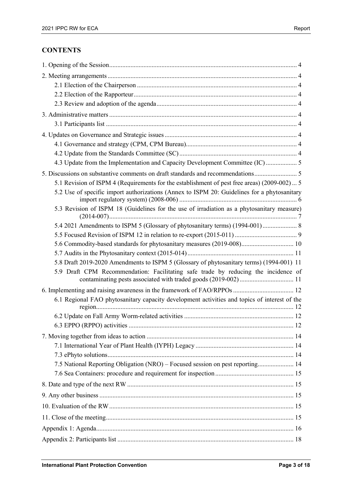| 4.3 Update from the Implementation and Capacity Development Committee (IC) 5                 |
|----------------------------------------------------------------------------------------------|
| 5. Discussions on substantive comments on draft standards and recommendations                |
| 5.1 Revision of ISPM 4 (Requirements for the establishment of pest free areas) (2009-002) 5  |
| 5.2 Use of specific import authorizations (Annex to ISPM 20: Guidelines for a phytosanitary  |
| 5.3 Revision of ISPM 18 (Guidelines for the use of irradiation as a phytosanitary measure)   |
| 5.4 2021 Amendments to ISPM 5 (Glossary of phytosanitary terms) (1994-001) 8                 |
|                                                                                              |
| 5.6 Commodity-based standards for phytosanitary measures (2019-008) 10                       |
|                                                                                              |
| 5.8 Draft 2019-2020 Amendments to ISPM 5 (Glossary of phytosanitary terms) (1994-001) 11     |
| 5.9 Draft CPM Recommendation: Facilitating safe trade by reducing the incidence of           |
|                                                                                              |
| 6.1 Regional FAO phytosanitary capacity development activities and topics of interest of the |
|                                                                                              |
|                                                                                              |
|                                                                                              |
|                                                                                              |
|                                                                                              |
| 7.5 National Reporting Obligation (NRO) – Focused session on pest reporting 14               |
|                                                                                              |
|                                                                                              |
|                                                                                              |
|                                                                                              |
|                                                                                              |
|                                                                                              |
|                                                                                              |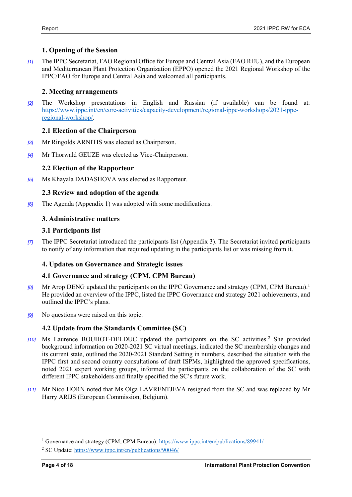# <span id="page-3-0"></span>**1. Opening of the Session**

*[1]* The IPPC Secretariat, FAO Regional Office for Europe and Central Asia (FAO REU), and the European and Mediterranean Plant Protection Organization (EPPO) opened the 2021 Regional Workshop of the IPPC/FAO for Europe and Central Asia and welcomed all participants.

# <span id="page-3-1"></span>**2. Meeting arrangements**

*[2]* The Workshop presentations in English and Russian (if available) can be found at: [https://www.ippc.int/en/core-activities/capacity-development/regional-ippc-workshops/2021-ippc](https://www.ippc.int/en/core-activities/capacity-development/regional-ippc-workshops/2021-ippc-regional-workshop/)[regional-workshop/.](https://www.ippc.int/en/core-activities/capacity-development/regional-ippc-workshops/2021-ippc-regional-workshop/)

# <span id="page-3-2"></span>**2.1 Election of the Chairperson**

- *[3]* Mr Ringolds ARNITIS was elected as Chairperson.
- *[4]* Mr Thorwald GEUZE was elected as Vice-Chairperson.

# <span id="page-3-3"></span>**2.2 Election of the Rapporteur**

*[5]* Ms Khayala DADASHOVA was elected as Rapporteur.

#### <span id="page-3-4"></span>**2.3 Review and adoption of the agenda**

*[6]* The Agenda (Appendix 1) was adopted with some modifications.

#### <span id="page-3-5"></span>**3. Administrative matters**

# <span id="page-3-6"></span>**3.1 Participants list**

*[7]* The IPPC Secretariat introduced the participants list (Appendix 3). The Secretariat invited participants to notify of any information that required updating in the participants list or was missing from it.

# <span id="page-3-7"></span>**4. Updates on Governance and Strategic issues**

#### <span id="page-3-8"></span>**4.1 Governance and strategy (CPM, CPM Bureau)**

- <sup>[8]</sup> Mr Arop DENG updated the participants on the IPPC Governance and strategy (CPM, CPM Bureau).<sup>[1](#page-3-10)</sup> He provided an overview of the IPPC, listed the IPPC Governance and strategy 2021 achievements, and outlined the IPPC's plans.
- *[9]* No questions were raised on this topic.

# <span id="page-3-9"></span>**4.2 Update from the Standards Committee (SC)**

- *[10]* Ms Laurence BOUHOT-DELDUC updated the participants on the SC activities.[2](#page-3-11) She provided background information on 2020-2021 SC virtual meetings, indicated the SC membership changes and its current state, outlined the 2020-2021 Standard Setting in numbers, described the situation with the IPPC first and second country consultations of draft ISPMs, highlighted the approved specifications, noted 2021 expert working groups, informed the participants on the collaboration of the SC with different IPPC stakeholders and finally specified the SC's future work.
- *[11]* Mr Nico HORN noted that Ms Olga LAVRENTJEVA resigned from the SC and was replaced by Mr Harry ARIJS (European Commission, Belgium).

<span id="page-3-10"></span> <sup>1</sup> Governance and strategy (CPM, CPM Bureau):<https://www.ippc.int/en/publications/89941/>

<span id="page-3-11"></span><sup>2</sup> SC Update[: https://www.ippc.int/en/publications/90046/](https://www.ippc.int/en/publications/90046/)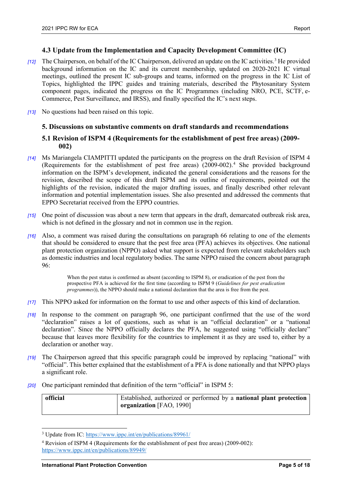# <span id="page-4-0"></span>**4.3 Update from the Implementation and Capacity Development Committee (IC)**

- *[12]* The Chairperson, on behalf of the IC Chairperson, delivered an update on the IC activities[.3](#page-4-3) He provided background information on the IC and its current membership, updated on 2020-2021 IC virtual meetings, outlined the present IC sub-groups and teams, informed on the progress in the IC List of Topics, highlighted the IPPC guides and training materials, described the Phytosanitary System component pages, indicated the progress on the IC Programmes (including NRO, PCE, SCTF, e-Commerce, Pest Surveillance, and IRSS), and finally specified the IC's next steps.
- *[13]* No questions had been raised on this topic.

#### <span id="page-4-1"></span>**5. Discussions on substantive comments on draft standards and recommendations**

#### <span id="page-4-2"></span>**5.1 Revision of ISPM 4 (Requirements for the establishment of pest free areas) (2009- 002)**

- *[14]* Ms Mariangela CIAMPITTI updated the participants on the progress on the draft Revision of ISPM 4 (Requirements for the establishment of pest free areas) (2009-002).<sup>[4](#page-4-4)</sup> She provided background information on the ISPM's development, indicated the general considerations and the reasons for the revision, described the scope of this draft ISPM and its outline of requirements, pointed out the highlights of the revision, indicated the major drafting issues, and finally described other relevant information and potential implementation issues. She also presented and addressed the comments that EPPO Secretariat received from the EPPO countries.
- *[15]* One point of discussion was about a new term that appears in the draft, demarcated outbreak risk area, which is not defined in the glossary and not in common use in the region.
- *[16]* Also, a comment was raised during the consultations on paragraph 66 relating to one of the elements that should be considered to ensure that the pest free area (PFA) achieves its objectives. One national plant protection organization (NPPO) asked what support is expected from relevant stakeholders such as domestic industries and local regulatory bodies. The same NPPO raised the concern about paragraph 96:

When the pest status is confirmed as absent (according to ISPM 8), or eradication of the pest from the prospective PFA is achieved for the first time (according to ISPM 9 (*Guidelines for pest eradication programmes*)), the NPPO should make a national declaration that the area is free from the pest.

- *[17]* This NPPO asked for information on the format to use and other aspects of this kind of declaration.
- *[18]* In response to the comment on paragraph 96, one participant confirmed that the use of the word "declaration" raises a lot of questions, such as what is an "official declaration" or a "national declaration". Since the NPPO officially declares the PFA, he suggested using "officially declare" because that leaves more flexibility for the countries to implement it as they are used to, either by a declaration or another way.
- *[19]* The Chairperson agreed that this specific paragraph could be improved by replacing "national" with "official". This better explained that the establishment of a PFA is done nationally and that NPPO plays a significant role.
- *[20]* One participant reminded that definition of the term "official" in ISPM 5:

| official | Established, authorized or performed by a <b>national plant protection</b> |
|----------|----------------------------------------------------------------------------|
|          | <b>organization</b> [FAO, 1990]                                            |

<span id="page-4-3"></span><sup>&</sup>lt;sup>3</sup> Update from IC:<https://www.ippc.int/en/publications/89961/>

<span id="page-4-4"></span><sup>4</sup> Revision of ISPM 4 (Requirements for the establishment of pest free areas) (2009-002): <https://www.ippc.int/en/publications/89949/>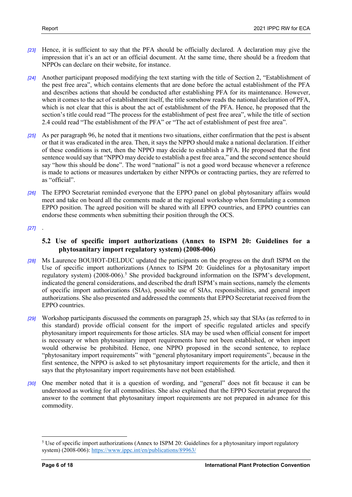- *[23]* Hence, it is sufficient to say that the PFA should be officially declared. A declaration may give the impression that it's an act or an official document. At the same time, there should be a freedom that NPPOs can declare on their website, for instance.
- *[24]* Another participant proposed modifying the text starting with the title of Section 2, "Establishment of the pest free area", which contains elements that are done before the actual establishment of the PFA and describes actions that should be conducted after establishing PFA for its maintenance. However, when it comes to the act of establishment itself, the title somehow reads the national declaration of PFA, which is not clear that this is about the act of establishment of the PFA. Hence, he proposed that the section's title could read "The process for the establishment of pest free area", while the title of section 2.4 could read "The establishment of the PFA" or "The act of establishment of pest free area".
- *[25]* As per paragraph 96, he noted that it mentions two situations, either confirmation that the pest is absent or that it was eradicated in the area. Then, it says the NPPO should make a national declaration. If either of these conditions is met, then the NPPO may decide to establish a PFA. He proposed that the first sentence would say that "NPPO may decide to establish a pest free area," and the second sentence should say "how this should be done". The word "national" is not a good word because whenever a reference is made to actions or measures undertaken by either NPPOs or contracting parties, they are referred to as "official".
- *[26]* The EPPO Secretariat reminded everyone that the EPPO panel on global phytosanitary affairs would meet and take on board all the comments made at the regional workshop when formulating a common EPPO position. The agreed position will be shared with all EPPO countries, and EPPO countries can endorse these comments when submitting their position through the OCS.

*[27]* .

# <span id="page-5-0"></span>**5.2 Use of specific import authorizations (Annex to ISPM 20: Guidelines for a phytosanitary import regulatory system) (2008-006)**

- *[28]* Ms Laurence BOUHOT-DELDUC updated the participants on the progress on the draft ISPM on the Use of specific import authorizations (Annex to ISPM 20: Guidelines for a phytosanitary import regulatory system) (2008-006).<sup>[5](#page-5-1)</sup> She provided background information on the ISPM's development, indicated the general considerations, and described the draft ISPM's main sections, namely the elements of specific import authorizations (SIAs), possible use of SIAs, responsibilities, and general import authorizations. She also presented and addressed the comments that EPPO Secretariat received from the EPPO countries.
- *[29]* Workshop participants discussed the comments on paragraph 25, which say that SIAs (as referred to in this standard) provide official consent for the import of specific regulated articles and specify phytosanitary import requirements for those articles. SIA may be used when official consent for import is necessary or when phytosanitary import requirements have not been established, or when import would otherwise be prohibited. Hence, one NPPO proposed in the second sentence, to replace "phytosanitary import requirements" with "general phytosanitary import requirements", because in the first sentence, the NPPO is asked to set phytosanitary import requirements for the article, and then it says that the phytosanitary import requirements have not been established.
- *[30]* One member noted that it is a question of wording, and "general" does not fit because it can be understood as working for all commodities. She also explained that the EPPO Secretariat prepared the answer to the comment that phytosanitary import requirements are not prepared in advance for this commodity.

<span id="page-5-1"></span><sup>&</sup>lt;sup>5</sup> Use of specific import authorizations (Annex to ISPM 20: Guidelines for a phytosanitary import regulatory system) (2008-006):<https://www.ippc.int/en/publications/89963/>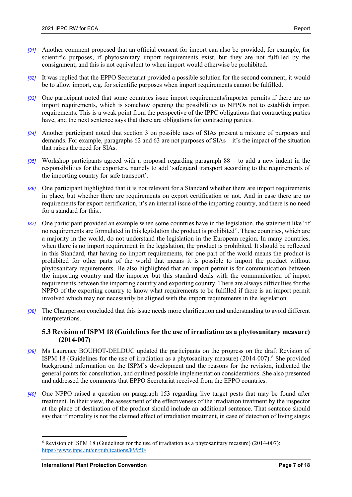- *[31]* Another comment proposed that an official consent for import can also be provided, for example, for scientific purposes, if phytosanitary import requirements exist, but they are not fulfilled by the consignment, and this is not equivalent to when import would otherwise be prohibited.
- *[32]* It was replied that the EPPO Secretariat provided a possible solution for the second comment, it would be to allow import, e.g. for scientific purposes when import requirements cannot be fulfilled.
- *[33]* One participant noted that some countries issue import requirements/importer permits if there are no import requirements, which is somehow opening the possibilities to NPPOs not to establish import requirements. This is a weak point from the perspective of the IPPC obligations that contracting parties have, and the next sentence says that there are obligations for contracting parties.
- *[34]* Another participant noted that section 3 on possible uses of SIAs present a mixture of purposes and demands. For example, paragraphs 62 and 63 are not purposes of SIAs – it's the impact of the situation that raises the need for SIAs.
- *[35]* Workshop participants agreed with a proposal regarding paragraph 88 to add a new indent in the responsibilities for the exporters, namely to add 'safeguard transport according to the requirements of the importing country for safe transport'.
- *[36]* One participant highlighted that it is not relevant for a Standard whether there are import requirements in place, but whether there are requirements on export certification or not. And in case there are no requirements for export certification, it's an internal issue of the importing country, and there is no need for a standard for this..
- *[37]* One participant provided an example when some countries have in the legislation, the statement like "if no requirements are formulated in this legislation the product is prohibited". These countries, which are a majority in the world, do not understand the legislation in the European region. In many countries, when there is no import requirement in the legislation, the product is prohibited. It should be reflected in this Standard, that having no import requirements, for one part of the world means the product is prohibited for other parts of the world that means it is possible to import the product without phytosanitary requirements. He also highlighted that an import permit is for communication between the importing country and the importer but this standard deals with the communication of import requirements between the importing country and exporting country. There are always difficulties for the NPPO of the exporting country to know what requirements to be fulfilled if there is an import permit involved which may not necessarily be aligned with the import requirements in the legislation.
- *[38]* The Chairperson concluded that this issue needs more clarification and understanding to avoid different interpretations.

#### <span id="page-6-0"></span>**5.3 Revision of ISPM 18 (Guidelines for the use of irradiation as a phytosanitary measure) (2014-007)**

- *[39]* Ms Laurence BOUHOT-DELDUC updated the participants on the progress on the draft Revision of ISPM 18 (Guidelines for the use of irradiation as a phytosanitary measure)  $(2014-007)$ .<sup>[6](#page-6-1)</sup> She provided background information on the ISPM's development and the reasons for the revision, indicated the general points for consultation, and outlined possible implementation considerations. She also presented and addressed the comments that EPPO Secretariat received from the EPPO countries.
- *[40]* One NPPO raised a question on paragraph 153 regarding live target pests that may be found after treatment. In their view, the assessment of the effectiveness of the irradiation treatment by the inspector at the place of destination of the product should include an additional sentence. That sentence should say that if mortality is not the claimed effect of irradiation treatment, in case of detection of living stages

<span id="page-6-1"></span> <sup>6</sup> Revision of ISPM 18 (Guidelines for the use of irradiation as a phytosanitary measure) (2014-007): <https://www.ippc.int/en/publications/89950/>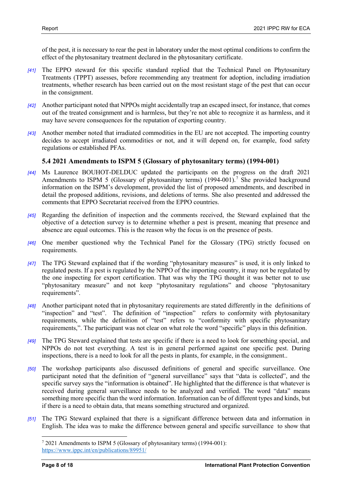of the pest, it is necessary to rear the pest in laboratory under the most optimal conditions to confirm the effect of the phytosanitary treatment declared in the phytosanitary certificate.

- *[41]* The EPPO steward for this specific standard replied that the Technical Panel on Phytosanitary Treatments (TPPT) assesses, before recommending any treatment for adoption, including irradiation treatments, whether research has been carried out on the most resistant stage of the pest that can occur in the consignment.
- *[42]* Another participant noted that NPPOs might accidentally trap an escaped insect, for instance, that comes out of the treated consignment and is harmless, but they're not able to recognize it as harmless, and it may have severe consequences for the reputation of exporting country.
- *[43]* Another member noted that irradiated commodities in the EU are not accepted. The importing country decides to accept irradiated commodities or not, and it will depend on, for example, food safety regulations or established PFAs.

# <span id="page-7-0"></span>**5.4 2021 Amendments to ISPM 5 (Glossary of phytosanitary terms) (1994-001)**

- *[44]* Ms Laurence BOUHOT-DELDUC updated the participants on the progress on the draft 2021 Amendments to ISPM 5 (Glossary of phytosanitary terms) (1994-001).<sup>[7](#page-7-1)</sup> She provided background information on the ISPM's development, provided the list of proposed amendments, and described in detail the proposed additions, revisions, and deletions of terms. She also presented and addressed the comments that EPPO Secretariat received from the EPPO countries.
- *[45]* Regarding the definition of inspection and the comments received, the Steward explained that the objective of a detection survey is to determine whether a pest is present, meaning that presence and absence are equal outcomes. This is the reason why the focus is on the presence of pests.
- *[46]* One member questioned why the Technical Panel for the Glossary (TPG) strictly focused on requirements.
- *[47]* The TPG Steward explained that if the wording "phytosanitary measures" is used, it is only linked to regulated pests. If a pest is regulated by the NPPO of the importing country, it may not be regulated by the one inspecting for export certification. That was why the TPG thought it was better not to use "phytosanitary measure" and not keep "phytosanitary regulations" and choose "phytosanitary requirements".
- *[48]* Another participant noted that in phytosanitary requirements are stated differently in the definitions of "inspection" and "test". The definition of "inspection" refers to conformity with phytosanitary requirements, while the definition of "test" refers to "conformity with specific phytosanitary requirements,". The participant was not clear on what role the word "specific" plays in this definition.
- *[49]* The TPG Steward explained that tests are specific if there is a need to look for something special, and NPPOs do not test everything. A test is in general performed against one specific pest. During inspections, there is a need to look for all the pests in plants, for example, in the consignment..
- *[50]* The workshop participants also discussed definitions of general and specific surveillance. One participant noted that the definition of "general surveillance" says that "data is collected", and the specific survey says the "information is obtained". He highlighted that the difference is that whatever is received during general surveillance needs to be analyzed and verified. The word "data" means something more specific than the word information. Information can be of different types and kinds, but if there is a need to obtain data, that means something structured and organized.
- <span id="page-7-1"></span>*[51]* The TPG Steward explained that there is a significant difference between data and information in English. The idea was to make the difference between general and specific surveillance to show that

 <sup>7</sup> 2021 Amendments to ISPM 5 (Glossary of phytosanitary terms) (1994-001): <https://www.ippc.int/en/publications/89951/>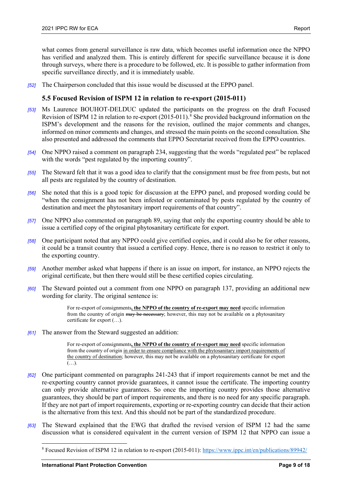what comes from general surveillance is raw data, which becomes useful information once the NPPO has verified and analyzed them. This is entirely different for specific surveillance because it is done through surveys, where there is a procedure to be followed, etc. It is possible to gather information from specific surveillance directly, and it is immediately usable.

*[52]* The Chairperson concluded that this issue would be discussed at the EPPO panel.

#### <span id="page-8-0"></span>**5.5 Focused Revision of ISPM 12 in relation to re-export (2015-011)**

- *[53]* Ms Laurence BOUHOT-DELDUC updated the participants on the progress on the draft Focused Revision of ISPM 12 in relation to re-export (2015-011).<sup>[8](#page-8-1)</sup> She provided background information on the ISPM's development and the reasons for the revision, outlined the major comments and changes, informed on minor comments and changes, and stressed the main points on the second consultation. She also presented and addressed the comments that EPPO Secretariat received from the EPPO countries.
- *[54]* One NPPO raised a comment on paragraph 234, suggesting that the words "regulated pest" be replaced with the words "pest regulated by the importing country".
- *[55]* The Steward felt that it was a good idea to clarify that the consignment must be free from pests, but not all pests are regulated by the country of destination.
- *[56]* She noted that this is a good topic for discussion at the EPPO panel, and proposed wording could be "when the consignment has not been infested or contaminated by pests regulated by the country of destination and meet the phytosanitary import requirements of that country".
- *[57]* One NPPO also commented on paragraph 89, saying that only the exporting country should be able to issue a certified copy of the original phytosanitary certificate for export.
- *[58]* One participant noted that any NPPO could give certified copies, and it could also be for other reasons, it could be a transit country that issued a certified copy. Hence, there is no reason to restrict it only to the exporting country.
- *[59]* Another member asked what happens if there is an issue on import, for instance, an NPPO rejects the original certificate, but then there would still be these certified copies circulating.
- *[60]* The Steward pointed out a comment from one NPPO on paragraph 137, providing an additional new wording for clarity. The original sentence is:

For re-export of consignments**, the NPPO of the country of re-export may need** specific information from the country of origin may be necessary; however, this may not be available on a phytosanitary certificate for export (…).

*[61]* The answer from the Steward suggested an addition:

For re-export of consignments**, the NPPO of the country of re-export may need** specific information from the country of origin in order to ensure compliance with the phytosanitary import requirements of the country of destination; however, this may not be available on a phytosanitary certificate for export (…).

- *[62]* One participant commented on paragraphs 241-243 that if import requirements cannot be met and the re-exporting country cannot provide guarantees, it cannot issue the certificate. The importing country can only provide alternative guarantees. So once the importing country provides those alternative guarantees, they should be part of import requirements, and there is no need for any specific paragraph. If they are not part of import requirements, exporting or re-exporting country can decide that their action is the alternative from this text. And this should not be part of the standardized procedure.
- <span id="page-8-1"></span>*[63]* The Steward explained that the EWG that drafted the revised version of ISPM 12 had the same discussion what is considered equivalent in the current version of ISPM 12 that NPPO can issue a

 <sup>8</sup> Focused Revision of ISPM 12 in relation to re-export (2015-011)[: https://www.ippc.int/en/publications/89942/](https://www.ippc.int/en/publications/89942/)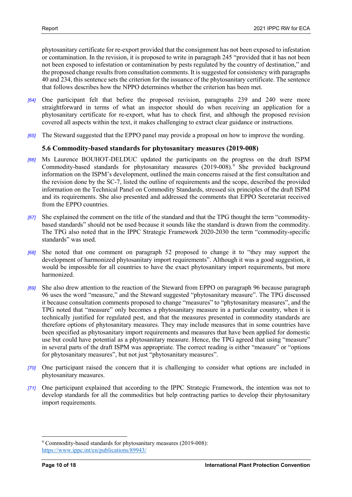phytosanitary certificate for re-export provided that the consignment has not been exposed to infestation or contamination. In the revision, it is proposed to write in paragraph 245 "provided that it has not been not been exposed to infestation or contamination by pests regulated by the country of destination," and the proposed change results from consultation comments. It is suggested for consistency with paragraphs 40 and 234, this sentence sets the criterion for the issuance of the phytosanitary certificate. The sentence that follows describes how the NPPO determines whether the criterion has been met.

- *[64]* One participant felt that before the proposed revision, paragraphs 239 and 240 were more straightforward in terms of what an inspector should do when receiving an application for a phytosanitary certificate for re-export, what has to check first, and although the proposed revision covered all aspects within the text, it makes challenging to extract clear guidance or instructions.
- *[65]* The Steward suggested that the EPPO panel may provide a proposal on how to improve the wording.

# <span id="page-9-0"></span>**5.6 Commodity-based standards for phytosanitary measures (2019-008)**

- *[66]* Ms Laurence BOUHOT-DELDUC updated the participants on the progress on the draft ISPM Commodity-based standards for phytosanitary measures (201[9](#page-9-1)-008).<sup>9</sup> She provided background information on the ISPM's development, outlined the main concerns raised at the first consultation and the revision done by the SC-7, listed the outline of requirements and the scope, described the provided information on the Technical Panel on Commodity Standards, stressed six principles of the draft ISPM and its requirements. She also presented and addressed the comments that EPPO Secretariat received from the EPPO countries.
- *[67]* She explained the comment on the title of the standard and that the TPG thought the term "commoditybased standards" should not be used because it sounds like the standard is drawn from the commodity. The TPG also noted that in the IPPC Strategic Framework 2020-2030 the term "commodity-specific standards" was used.
- *[68]* She noted that one comment on paragraph 52 proposed to change it to "they may support the development of harmonized phytosanitary import requirements". Although it was a good suggestion, it would be impossible for all countries to have the exact phytosanitary import requirements, but more harmonized.
- *[69]* She also drew attention to the reaction of the Steward from EPPO on paragraph 96 because paragraph 96 uses the word "measure," and the Steward suggested "phytosanitary measure". The TPG discussed it because consultation comments proposed to change "measures" to "phytosanitary measures", and the TPG noted that "measure" only becomes a phytosanitary measure in a particular country, when it is technically justified for regulated pest, and that the measures presented in commodity standards are therefore options of phytosanitary measures. They may include measures that in some countries have been specified as phytosanitary import requirements and measures that have been applied for domestic use but could have potential as a phytosanitary measure. Hence, the TPG agreed that using "measure" in several parts of the draft ISPM was appropriate. The correct reading is either "measure" or "options for phytosanitary measures", but not just "phytosanitary measures".
- *[70]* One participant raised the concern that it is challenging to consider what options are included in phytosanitary measures.
- *[71]* One participant explained that according to the IPPC Strategic Framework, the intention was not to develop standards for all the commodities but help contracting parties to develop their phytosanitary import requirements.

<span id="page-9-1"></span> <sup>9</sup> Commodity-based standards for phytosanitary measures (2019-008): <https://www.ippc.int/en/publications/89943/>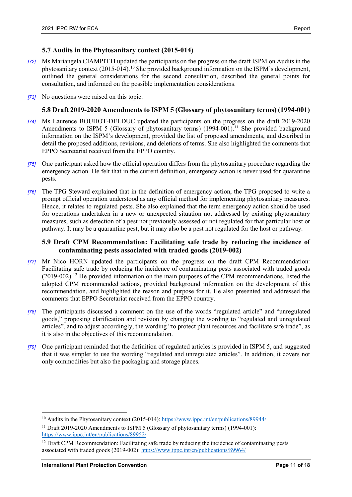# <span id="page-10-0"></span>**5.7 Audits in the Phytosanitary context (2015-014)**

- *[72]* Ms Mariangela CIAMPITTI updated the participants on the progress on the draft ISPM on Audits in the phytosanitary context (2015-014).[10](#page-10-3) She provided background information on the ISPM's development, outlined the general considerations for the second consultation, described the general points for consultation, and informed on the possible implementation considerations.
- *[73]* No questions were raised on this topic.

#### <span id="page-10-1"></span>**5.8 Draft 2019-2020 Amendments to ISPM 5 (Glossary of phytosanitary terms) (1994-001)**

- *[74]* Ms Laurence BOUHOT-DELDUC updated the participants on the progress on the draft 2019-2020 Amendments to ISPM 5 (Glossary of phytosanitary terms)  $(1994-001)$ .<sup>[11](#page-10-4)</sup> She provided background information on the ISPM's development, provided the list of proposed amendments, and described in detail the proposed additions, revisions, and deletions of terms. She also highlighted the comments that EPPO Secretariat received from the EPPO country.
- *[75]* One participant asked how the official operation differs from the phytosanitary procedure regarding the emergency action. He felt that in the current definition, emergency action is never used for quarantine pests.
- *[76]* The TPG Steward explained that in the definition of emergency action, the TPG proposed to write a prompt official operation understood as any official method for implementing phytosanitary measures. Hence, it relates to regulated pests. She also explained that the term emergency action should be used for operations undertaken in a new or unexpected situation not addressed by existing phytosanitary measures, such as detection of a pest not previously assessed or not regulated for that particular host or pathway. It may be a quarantine pest, but it may also be a pest not regulated for the host or pathway.

# <span id="page-10-2"></span>**5.9 Draft CPM Recommendation: Facilitating safe trade by reducing the incidence of contaminating pests associated with traded goods (2019-002)**

- *[77]* Mr Nico HORN updated the participants on the progress on the draft CPM Recommendation: Facilitating safe trade by reducing the incidence of contaminating pests associated with traded goods (2019-002). [12](#page-10-5) He provided information on the main purposes of the CPM recommendations, listed the adopted CPM recommended actions, provided background information on the development of this recommendation, and highlighted the reason and purpose for it. He also presented and addressed the comments that EPPO Secretariat received from the EPPO country.
- *[78]* The participants discussed a comment on the use of the words "regulated article" and "unregulated goods," proposing clarification and revision by changing the wording to "regulated and unregulated articles", and to adjust accordingly, the wording "to protect plant resources and facilitate safe trade", as it is also in the objectives of this recommendation.
- *[79]* One participant reminded that the definition of regulated articles is provided in ISPM 5, and suggested that it was simpler to use the wording "regulated and unregulated articles". In addition, it covers not only commodities but also the packaging and storage places.

<span id="page-10-3"></span><sup>&</sup>lt;sup>10</sup> Audits in the Phytosanitary context (2015-014):<https://www.ippc.int/en/publications/89944/>

<span id="page-10-4"></span><sup>&</sup>lt;sup>11</sup> Draft 2019-2020 Amendments to ISPM 5 (Glossary of phytosanitary terms) (1994-001): <https://www.ippc.int/en/publications/89952/>

<span id="page-10-5"></span> $12$  Draft CPM Recommendation: Facilitating safe trade by reducing the incidence of contaminating pests associated with traded goods (2019-002):<https://www.ippc.int/en/publications/89964/>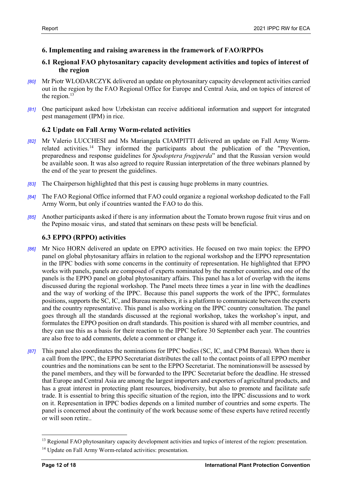# <span id="page-11-0"></span>**6. Implementing and raising awareness in the framework of FAO/RPPOs**

# <span id="page-11-1"></span>**6.1 Regional FAO phytosanitary capacity development activities and topics of interest of the region**

- *[80]* Mr Piotr WLODARCZYK delivered an update on phytosanitary capacity development activities carried out in the region by the FAO Regional Office for Europe and Central Asia, and on topics of interest of the region.<sup>13</sup>
- *[81]* One participant asked how Uzbekistan can receive additional information and support for integrated pest management (IPM) in rice.

# <span id="page-11-2"></span>**6.2 Update on Fall Army Worm-related activities**

- *[82]* Mr Valerio LUCCHESI and Ms Mariangela CIAMPITTI delivered an update on Fall Army Worm-related activities.<sup>[14](#page-11-5)</sup> They informed the participants about the publication of the "Prevention, preparedness and response guidelines for *Spodoptera frugiperda*" and that the Russian version would be available soon. It was also agreed to require Russian interpretation of the three webinars planned by the end of the year to present the guidelines.
- *[83]* The Chairperson highlighted that this pest is causing huge problems in many countries.
- *[84]* The FAO Regional Office informed that FAO could organize a regional workshop dedicated to the Fall Army Worm, but only if countries wanted the FAO to do this.
- *[85]* Another participants asked if there is any information about the Tomato brown rugose fruit virus and on the Pepino mosaic virus, and stated that seminars on these pests will be beneficial.

# <span id="page-11-3"></span>**6.3 EPPO (RPPO) activities**

- *[86]* Mr Nico HORN delivered an update on EPPO activities. He focused on two main topics: the EPPO panel on global phytosanitary affairs in relation to the regional workshop and the EPPO representation in the IPPC bodies with some concerns in the continuity of representation. He highlighted that EPPO works with panels, panels are composed of experts nominated by the member countries, and one of the panels is the EPPO panel on global phytosanitary affairs. This panel has a lot of overlap with the items discussed during the regional workshop. The Panel meets three times a year in line with the deadlines and the way of working of the IPPC. Because this panel supports the work of the IPPC, formulates positions, supports the SC, IC, and Bureau members, it is a platform to communicate between the experts and the country representative. This panel is also working on the IPPC country consultation. The panel goes through all the standards discussed at the regional workshop, takes the workshop's input, and formulates the EPPO position on draft standards. This position is shared with all member countries, and they can use this as a basis for their reaction to the IPPC before 30 September each year. The countries are also free to add comments, delete a comment or change it.
- *[87]* This panel also coordinates the nominations for IPPC bodies (SC, IC, and CPM Bureau). When there is a call from the IPPC, the EPPO Secretariat distributes the call to the contact points of all EPPO member countries and the nominations can be sent to the EPPO Secretariat. The nominationswill be assessed by the panel members, and they will be forwarded to the IPPC Secretariat before the deadline. He stressed that Europe and Central Asia are among the largest importers and exporters of agricultural products, and has a great interest in protecting plant resources, biodiversity, but also to promote and facilitate safe trade. It is essential to bring this specific situation of the region, into the IPPC discussions and to work on it. Representation in IPPC bodies depends on a limited number of countries and some experts. The panel is concerned about the continuity of the work because some of these experts have retired recently or will soon retire..

<span id="page-11-4"></span><sup>&</sup>lt;sup>13</sup> Regional FAO phytosanitary capacity development activities and topics of interest of the region: presentation.

<span id="page-11-5"></span><sup>&</sup>lt;sup>14</sup> Update on Fall Army Worm-related activities: presentation.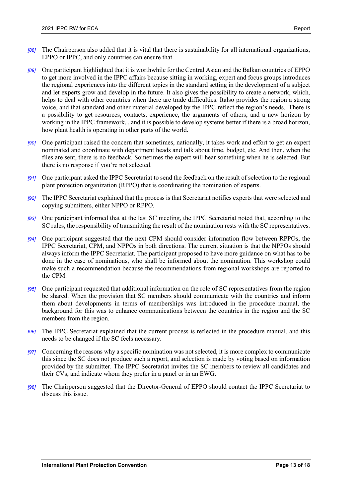- *[89]* One participant highlighted that it is worthwhile for the Central Asian and the Balkan countries of EPPO to get more involved in the IPPC affairs because sitting in working, expert and focus groups introduces the regional experiences into the different topics in the standard setting in the development of a subject and let experts grow and develop in the future. It also gives the possibility to create a network, which, helps to deal with other countries when there are trade difficulties. Italso provides the region a strong voice, and that standard and other material developed by the IPPC reflect the region's needs.. There is a possibility to get resources, contacts, experience, the arguments of others, and a new horizon by working in the IPPC framework, , and it is possible to develop systems better if there is a broad horizon, how plant health is operating in other parts of the world.
- *[90]* One participant raised the concern that sometimes, nationally, it takes work and effort to get an expert nominated and coordinate with department heads and talk about time, budget, etc. And then, when the files are sent, there is no feedback. Sometimes the expert will hear something when he is selected. But there is no response if you're not selected.
- *[91]* One participant asked the IPPC Secretariat to send the feedback on the result of selection to the regional plant protection organization (RPPO) that is coordinating the nomination of experts.
- *[92]* The IPPC Secretariat explained that the process is that Secretariat notifies experts that were selected and copying submitters, either NPPO or RPPO.
- *[93]* One participant informed that at the last SC meeting, the IPPC Secretariat noted that, according to the SC rules, the responsibility of transmitting the result of the nomination rests with the SC representatives.
- *[94]* One participant suggested that the next CPM should consider information flow between RPPOs, the IPPC Secretariat, CPM, and NPPOs in both directions. The current situation is that the NPPOs should always inform the IPPC Secretariat. The participant proposed to have more guidance on what has to be done in the case of nominations, who shall be informed about the nomination. This workshop could make such a recommendation because the recommendations from regional workshops are reported to the CPM.
- *[95]* One participant requested that additional information on the role of SC representatives from the region be shared. When the provision that SC members should communicate with the countries and inform them about developments in terms of memberships was introduced in the procedure manual, the background for this was to enhance communications between the countries in the region and the SC members from the region.
- *[96]* The IPPC Secretariat explained that the current process is reflected in the procedure manual, and this needs to be changed if the SC feels necessary.
- *[97]* Concerning the reasons why a specific nomination was not selected, it is more complex to communicate this since the SC does not produce such a report, and selection is made by voting based on information provided by the submitter. The IPPC Secretariat invites the SC members to review all candidates and their CVs, and indicate whom they prefer in a panel or in an EWG.
- *[98]* The Chairperson suggested that the Director-General of EPPO should contact the IPPC Secretariat to discuss this issue.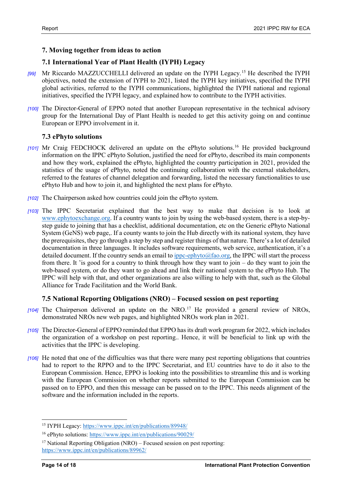#### <span id="page-13-0"></span>**7. Moving together from ideas to action**

# <span id="page-13-1"></span>**7.1 International Year of Plant Health (IYPH) Legacy**

- *[99]* Mr Riccardo MAZZUCCHELLI delivered an update on the IYPH Legacy.[15](#page-13-4) He described the IYPH objectives, noted the extension of IYPH to 2021, listed the IYPH key initiatives, specified the IYPH global activities, referred to the IYPH communications, highlighted the IYPH national and regional initiatives, specified the IYPH legacy, and explained how to contribute to the IYPH activities.
- *[100]* The Director-General of EPPO noted that another European representative in the technical advisory group for the International Day of Plant Health is needed to get this activity going on and continue European or EPPO involvement in it.

# <span id="page-13-2"></span>**7.3 ePhyto solutions**

- *[101]* Mr Craig FEDCHOCK delivered an update on the ePhyto solutions.[16](#page-13-5) He provided background information on the IPPC ePhyto Solution, justified the need for ePhyto, described its main components and how they work, explained the ePhyto, highlighted the country participation in 2021, provided the statistics of the usage of ePhyto, noted the continuing collaboration with the external stakeholders, referred to the features of channel delegation and forwarding, listed the necessary functionalities to use ePhyto Hub and how to join it, and highlighted the next plans for ePhyto.
- *[102]* The Chairperson asked how countries could join the ePhyto system.
- *[103]* The IPPC Secretariat explained that the best way to make that decision is to look at [www.ephytoexchange.org.](http://www.ephytoexchange.org/) If a country wants to join by using the web-based system, there is a step-bystep guide to joining that has a checklist, additional documentation, etc on the Generic ePhyto National System (GeNS) web page,. If a county wants to join the Hub directly with its national system, they have the prerequisites, they go through a step by step and register things of that nature. There's a lot of detailed documentation in three languages. It includes software requirements, web service, authentication, it's a detailed document. If the country sends an email to  $ippc-ephyto@fao.org$ , the IPPC will start the process from there. It 'is good for a country to think through how they want to join – do they want to join the web-based system, or do they want to go ahead and link their national system to the ePhyto Hub. The IPPC will help with that, and other organizations are also willing to help with that, such as the Global Alliance for Trade Facilitation and the World Bank.

#### <span id="page-13-3"></span>**7.5 National Reporting Obligations (NRO) – Focused session on pest reporting**

- *[104]* The Chairperson delivered an update on the NRO. [17](#page-13-6) He provided a general review of NROs, demonstrated NROs new web pages, and highlighted NROs work plan in 2021.
- *[105]* The Director-General of EPPO reminded that EPPO has its draft work program for 2022, which includes the organization of a workshop on pest reporting.. Hence, it will be beneficial to link up with the activities that the IPPC is developing.
- *[106]* He noted that one of the difficulties was that there were many pest reporting obligations that countries had to report to the RPPO and to the IPPC Secretariat, and EU countries have to do it also to the European Commission. Hence, EPPO is looking into the possibilities to streamline this and is working with the European Commission on whether reports submitted to the European Commission can be passed on to EPPO, and then this message can be passed on to the IPPC. This needs alignment of the software and the information included in the reports.

<span id="page-13-4"></span> <sup>15</sup> IYPH Legacy:<https://www.ippc.int/en/publications/89948/>

<span id="page-13-5"></span><sup>16</sup> ePhyto solutions:<https://www.ippc.int/en/publications/90029/>

<span id="page-13-6"></span><sup>&</sup>lt;sup>17</sup> National Reporting Obligation (NRO) – Focused session on pest reporting: <https://www.ippc.int/en/publications/89962/>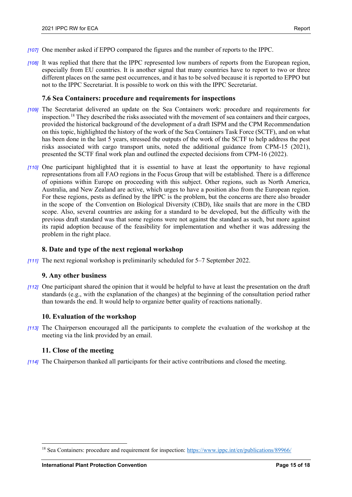- *[107]* One member asked if EPPO compared the figures and the number of reports to the IPPC.
- *[108]* It was replied that there that the IPPC represented low numbers of reports from the European region, especially from EU countries. It is another signal that many countries have to report to two or three different places on the same pest occurrences, and it has to be solved because it is reported to EPPO but not to the IPPC Secretariat. It is possible to work on this with the IPPC Secretariat.

#### <span id="page-14-0"></span>**7.6 Sea Containers: procedure and requirements for inspections**

- *[109]* The Secretariat delivered an update on the Sea Containers work: procedure and requirements for inspection[.18](#page-14-5) They described the risks associated with the movement of sea containers and their cargoes, provided the historical background of the development of a draft ISPM and the CPM Recommendation on this topic, highlighted the history of the work of the Sea Containers Task Force (SCTF), and on what has been done in the last 5 years, stressed the outputs of the work of the SCTF to help address the pest risks associated with cargo transport units, noted the additional guidance from CPM-15 (2021), presented the SCTF final work plan and outlined the expected decisions from CPM-16 (2022).
- *[110]* One participant highlighted that it is essential to have at least the opportunity to have regional representations from all FAO regions in the Focus Group that will be established. There is a difference of opinions within Europe on proceeding with this subject. Other regions, such as North America, Australia, and New Zealand are active, which urges to have a position also from the European region. For these regions, pests as defined by the IPPC is the problem, but the concerns are there also broader in the scope of the Convention on Biological Diversity (CBD), like snails that are more in the CBD scope. Also, several countries are asking for a standard to be developed, but the difficulty with the previous draft standard was that some regions were not against the standard as such, but more against its rapid adoption because of the feasibility for implementation and whether it was addressing the problem in the right place.

#### <span id="page-14-1"></span>**8. Date and type of the next regional workshop**

*[111]* The next regional workshop is preliminarily scheduled for 5–7 September 2022.

#### <span id="page-14-2"></span>**9. Any other business**

*[112]* One participant shared the opinion that it would be helpful to have at least the presentation on the draft standards (e.g., with the explanation of the changes) at the beginning of the consultation period rather than towards the end. It would help to organize better quality of reactions nationally.

#### <span id="page-14-3"></span>**10. Evaluation of the workshop**

*[113]* The Chairperson encouraged all the participants to complete the evaluation of the workshop at the meeting via the link provided by an email.

#### <span id="page-14-4"></span>**11. Close of the meeting**

*[114]* The Chairperson thanked all participants for their active contributions and closed the meeting.

<span id="page-14-5"></span><sup>&</sup>lt;sup>18</sup> Sea Containers: procedure and requirement for inspection:<https://www.ippc.int/en/publications/89966/>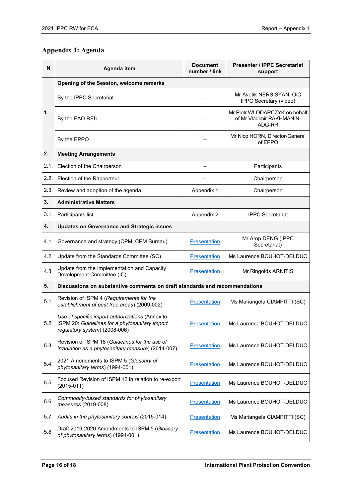# <span id="page-15-0"></span>**Appendix 1: Agenda**

| N                                       | Agenda item                                                                                                                        | <b>Document</b><br>number / link | <b>Presenter / IPPC Secretariat</b><br>support                       |  |
|-----------------------------------------|------------------------------------------------------------------------------------------------------------------------------------|----------------------------------|----------------------------------------------------------------------|--|
| Opening of the Session, welcome remarks |                                                                                                                                    |                                  |                                                                      |  |
| 1.                                      | By the IPPC Secretariat                                                                                                            |                                  | Mr Avetik NERSISYAN, OiC<br>IPPC Secretary (video)                   |  |
|                                         | By the FAO REU                                                                                                                     |                                  | Mr Piotr WLODARCZYK on behalf<br>of Mr Vladimir RAKHMANIN,<br>ADG-RR |  |
|                                         | By the EPPO                                                                                                                        |                                  | Mr Nico HORN, Director-General<br>of EPPO                            |  |
| 2.                                      | <b>Meeting Arrangements</b>                                                                                                        |                                  |                                                                      |  |
| 2.1.                                    | Election of the Chairperson                                                                                                        |                                  | Participants                                                         |  |
| 2.2.                                    | Election of the Rapporteur                                                                                                         |                                  | Chairperson                                                          |  |
| 2.3.                                    | Review and adoption of the agenda                                                                                                  | Appendix 1                       | Chairperson                                                          |  |
| 3.                                      | <b>Administrative Matters</b>                                                                                                      |                                  |                                                                      |  |
| 3.1.                                    | Participants list                                                                                                                  | Appendix 2                       | <b>IPPC Secretariat</b>                                              |  |
| 4.                                      | <b>Updates on Governance and Strategic issues</b>                                                                                  |                                  |                                                                      |  |
| 4.1.                                    | Governance and strategy (CPM, CPM Bureau)                                                                                          | <b>Presentation</b>              | Mr Arop DENG (IPPC<br>Secretariat)                                   |  |
| 4.2.                                    | Update from the Standards Committee (SC)                                                                                           | <b>Presentation</b>              | Ms Laurence BOUHOT-DELDUC                                            |  |
| 4.3.                                    | Update from the Implementation and Capacity<br>Development Committee (IC)                                                          | <b>Presentation</b>              | Mr Ringolds ARNITIS                                                  |  |
| 5.                                      | Discussions on substantive comments on draft standards and recommendations                                                         |                                  |                                                                      |  |
| 5.1.                                    | Revision of ISPM 4 (Requirements for the<br>establishment of pest free areas) (2009-002)                                           | Presentation                     | Ms Mariangela CIAMPITTI (SC)                                         |  |
| 5.2.                                    | Use of specific import authorizations (Annex to<br>ISPM 20: Guidelines for a phytosanitary import<br>regulatory system) (2008-006) | <b>Presentation</b>              | Ms Laurence BOUHOT-DELDUC                                            |  |
| 5.3.                                    | Revision of ISPM 18 (Guidelines for the use of<br>irradiation as a phytosanitary measure) (2014-007)                               | Presentation                     | Ms Laurence BOUHOT-DELDUC                                            |  |
| 5.4.                                    | 2021 Amendments to ISPM 5 (Glossary of<br>phytosanitary terms) (1994-001)                                                          | Presentation                     | Ms Laurence BOUHOT-DELDUC                                            |  |
| 5.5.                                    | Focused Revision of ISPM 12 in relation to re-export<br>$(2015 - 011)$                                                             | Presentation                     | Ms Laurence BOUHOT-DELDUC                                            |  |
| 5.6.                                    | Commodity-based standards for phytosanitary<br>measures (2019-008)                                                                 | Presentation                     | Ms Laurence BOUHOT-DELDUC                                            |  |
| 5.7.                                    | Audits in the phytosanitary context (2015-014)                                                                                     | Presentation                     | Ms Mariangela CIAMPITTI (SC)                                         |  |
| 5.8.                                    | Draft 2019-2020 Amendments to ISPM 5 (Glossary<br>of phytosanitary terms) (1994-001)                                               | Presentation                     | Ms Laurence BOUHOT-DELDUC                                            |  |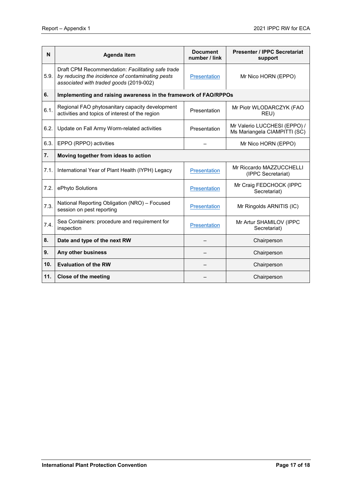| N    | Agenda item                                                                                                                                      | <b>Document</b><br>number / link | <b>Presenter / IPPC Secretariat</b><br>support               |
|------|--------------------------------------------------------------------------------------------------------------------------------------------------|----------------------------------|--------------------------------------------------------------|
| 5.9. | Draft CPM Recommendation: Facilitating safe trade<br>by reducing the incidence of contaminating pests<br>associated with traded goods (2019-002) | <b>Presentation</b>              | Mr Nico HORN (EPPO)                                          |
| 6.   | Implementing and raising awareness in the framework of FAO/RPPOs                                                                                 |                                  |                                                              |
| 6.1. | Regional FAO phytosanitary capacity development<br>activities and topics of interest of the region                                               | Presentation                     | Mr Piotr WLODARCZYK (FAO<br>REU)                             |
| 6.2. | Update on Fall Army Worm-related activities                                                                                                      | Presentation                     | Mr Valerio LUCCHESI (EPPO) /<br>Ms Mariangela CIAMPITTI (SC) |
| 6.3. | EPPO (RPPO) activities                                                                                                                           |                                  | Mr Nico HORN (EPPO)                                          |
| 7.   | Moving together from ideas to action                                                                                                             |                                  |                                                              |
| 7.1. | International Year of Plant Health (IYPH) Legacy                                                                                                 | <b>Presentation</b>              | Mr Riccardo MAZZUCCHELLI<br>(IPPC Secretariat)               |
| 7.2. | ePhyto Solutions                                                                                                                                 | <b>Presentation</b>              | Mr Craig FEDCHOCK (IPPC<br>Secretariat)                      |
| 7.3. | National Reporting Obligation (NRO) - Focused<br>session on pest reporting                                                                       | <b>Presentation</b>              | Mr Ringolds ARNITIS (IC)                                     |
| 7.4. | Sea Containers: procedure and requirement for<br>inspection                                                                                      | <b>Presentation</b>              | Mr Artur SHAMILOV (IPPC<br>Secretariat)                      |
| 8.   | Date and type of the next RW                                                                                                                     |                                  | Chairperson                                                  |
| 9.   | Any other business                                                                                                                               |                                  | Chairperson                                                  |
| 10.  | <b>Evaluation of the RW</b>                                                                                                                      |                                  | Chairperson                                                  |
| 11.  | Close of the meeting                                                                                                                             |                                  | Chairperson                                                  |